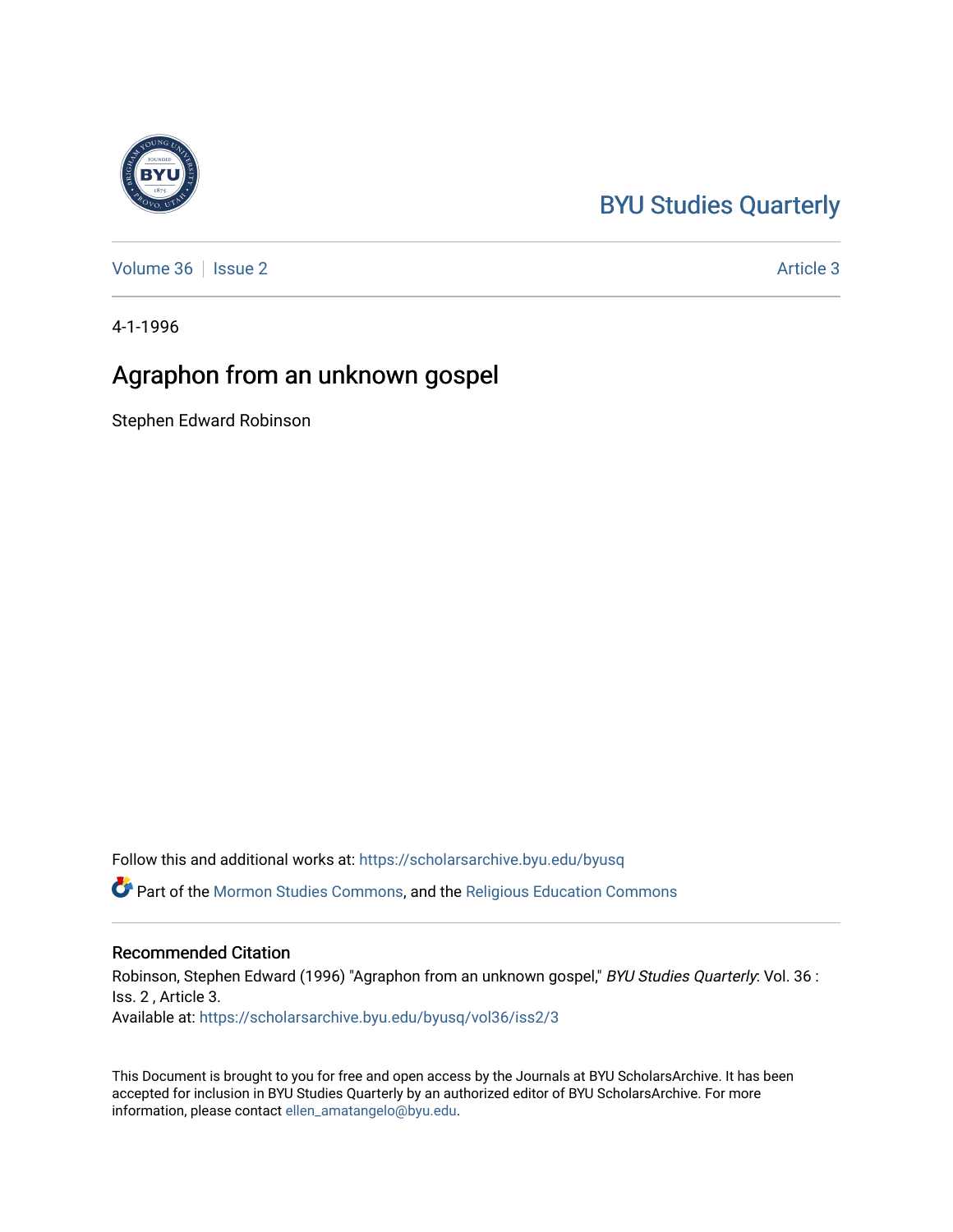## [BYU Studies Quarterly](https://scholarsarchive.byu.edu/byusq)

[Volume 36](https://scholarsarchive.byu.edu/byusq/vol36) | [Issue 2](https://scholarsarchive.byu.edu/byusq/vol36/iss2) Article 3

4-1-1996

## Agraphon from an unknown gospel

Stephen Edward Robinson

Follow this and additional works at: [https://scholarsarchive.byu.edu/byusq](https://scholarsarchive.byu.edu/byusq?utm_source=scholarsarchive.byu.edu%2Fbyusq%2Fvol36%2Fiss2%2F3&utm_medium=PDF&utm_campaign=PDFCoverPages) 

Part of the [Mormon Studies Commons](http://network.bepress.com/hgg/discipline/1360?utm_source=scholarsarchive.byu.edu%2Fbyusq%2Fvol36%2Fiss2%2F3&utm_medium=PDF&utm_campaign=PDFCoverPages), and the [Religious Education Commons](http://network.bepress.com/hgg/discipline/1414?utm_source=scholarsarchive.byu.edu%2Fbyusq%2Fvol36%2Fiss2%2F3&utm_medium=PDF&utm_campaign=PDFCoverPages) 

## Recommended Citation

Robinson, Stephen Edward (1996) "Agraphon from an unknown gospel," BYU Studies Quarterly: Vol. 36 : Iss. 2 , Article 3. Available at: [https://scholarsarchive.byu.edu/byusq/vol36/iss2/3](https://scholarsarchive.byu.edu/byusq/vol36/iss2/3?utm_source=scholarsarchive.byu.edu%2Fbyusq%2Fvol36%2Fiss2%2F3&utm_medium=PDF&utm_campaign=PDFCoverPages)

This Document is brought to you for free and open access by the Journals at BYU ScholarsArchive. It has been accepted for inclusion in BYU Studies Quarterly by an authorized editor of BYU ScholarsArchive. For more information, please contact [ellen\\_amatangelo@byu.edu.](mailto:ellen_amatangelo@byu.edu)